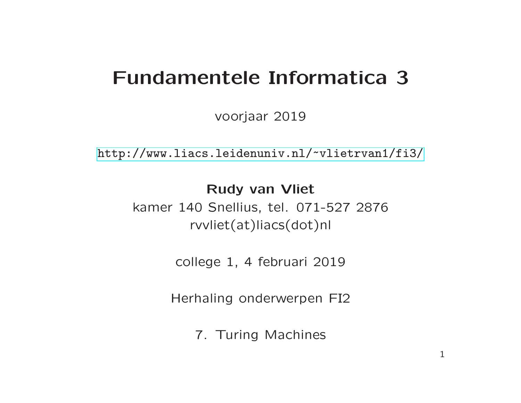voorjaar 2019

[http://www.liacs.leidenuniv.nl/](http://www.liacs.leidenuniv.nl/~vlietrvan1/fi3/) ~vlietrvan1/fi3/

Rudy van Vliet kamer 140 Snellius, tel. 071-527 2876 rvvliet(at)liacs(dot)nl

college 1, 4 februari 2019

Herhaling onderwerpen FI2

7. Turing Machines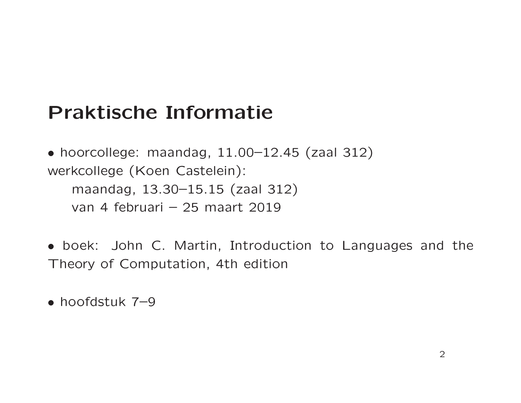## Praktische Informatie

• hoorcollege: maandag, 11.00–12.45 (zaal 312) werkcollege (Koen Castelein): maandag, 13.30–15.15 (zaal 312) van 4 februari – 25 maart 2019

• boek: John C. Martin, Introduction to Languages and the Theory of Computation, 4th edition

• hoofdstuk 7–9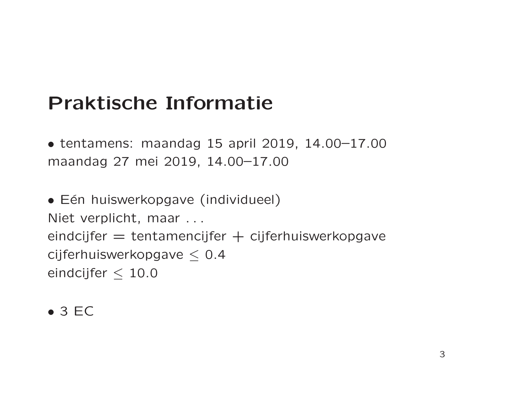# Praktische Informatie

• tentamens: maandag 15 april 2019, 14.00–17.00 maandag 27 mei 2019, 14.00–17.00

• Eén huiswerkopgave (individueel) Niet verplicht, maar . . . eindcijfer  $=$  tentamencijfer  $+$  cijferhuiswerkopgave cijferhuiswerkopgave  $\leq$  0.4 eindcijfer  $\leq 10.0$ 

• 3 EC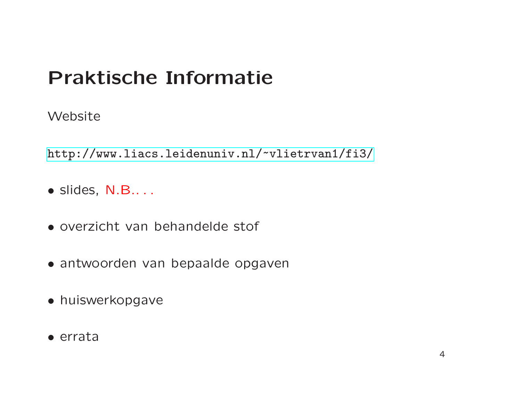# Praktische Informatie

Website

[http://www.liacs.leidenuniv.nl/](http://www.liacs.leidenuniv.nl/~vlietrvan1/fi3/) ~vlietrvan1/fi3/

- slides, N.B.. . .
- overzicht van behandelde stof
- antwoorden van bepaalde opgaven
- huiswerkopgave
- errata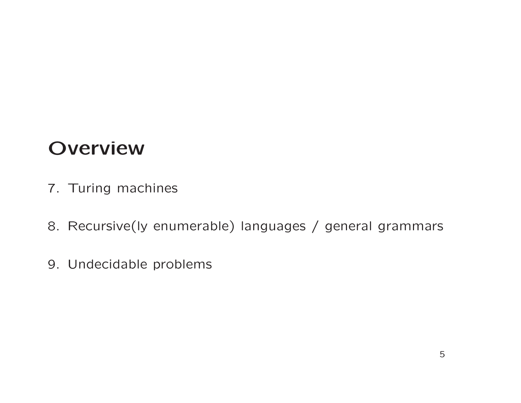## **Overview**

- 7. Turing machines
- 8. Recursive(ly enumerable) languages / general grammars
- 9. Undecidable problems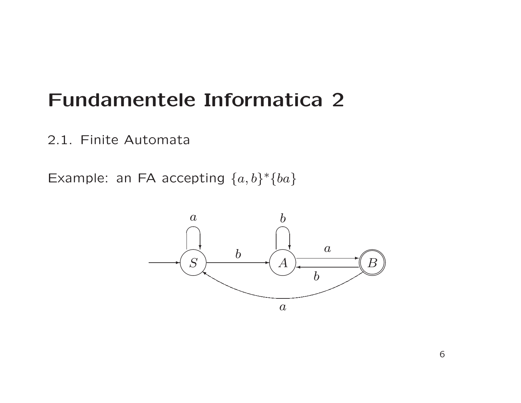2.1. Finite Automata

Example: an FA accepting  $\{a,b\}^*\{ba\}$ 

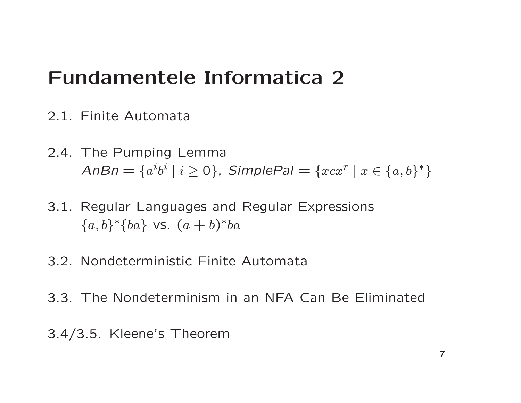- 2.1. Finite Automata
- 2.4. The Pumping Lemma  $\mathsf{AnB} n = \{a^i b^i \mid i \geq 0\}$ ,  $\mathsf{SimplePal} = \{x c x^r \mid x \in \{a,b\}^*\}$
- 3.1. Regular Languages and Regular Expressions  ${a, b}^*$ {*ba*} vs.  $(a + b)^*$ *ba*
- 3.2. Nondeterministic Finite Automata
- 3.3. The Nondeterminism in an NFA Can Be Eliminated
- 3.4/3.5. Kleene's Theorem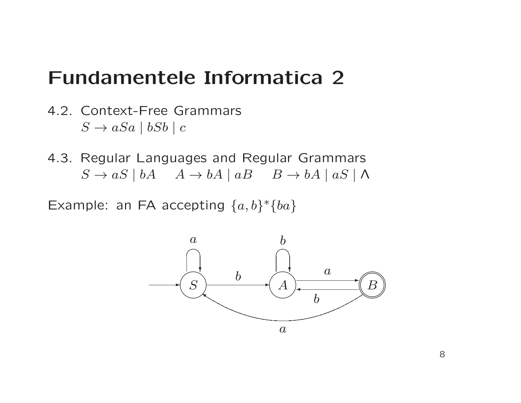- 4.2. Context-Free Grammars  $S \rightarrow aSa \mid bSb \mid c$
- 4.3. Regular Languages and Regular Grammars  $S \to aS \mid bA \quad A \to bA \mid aB \quad B \to bA \mid aS \mid \Lambda$

Example: an FA accepting  $\{a,b\}^*\{ba\}$ 

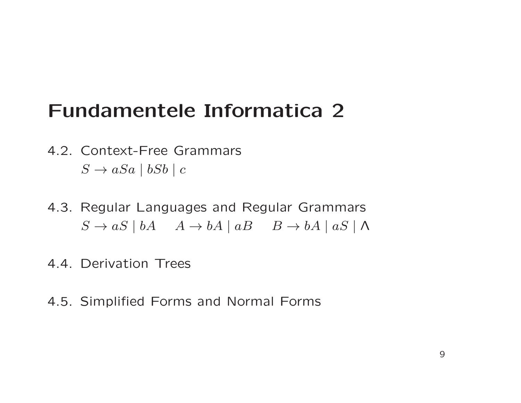- 4.2. Context-Free Grammars  $S \rightarrow aSa \mid bSb \mid c$
- 4.3. Regular Languages and Regular Grammars  $S \to aS \mid bA \quad A \to bA \mid aB \quad B \to bA \mid aS \mid \Lambda$
- 4.4. Derivation Trees
- 4.5. Simplified Forms and Normal Forms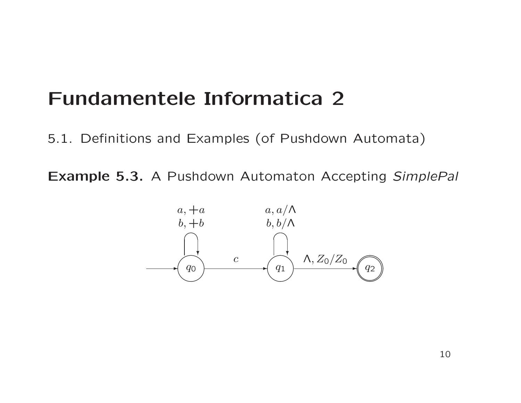5.1. Definitions and Examples (of Pushdown Automata)

Example 5.3. A Pushdown Automaton Accepting SimplePal

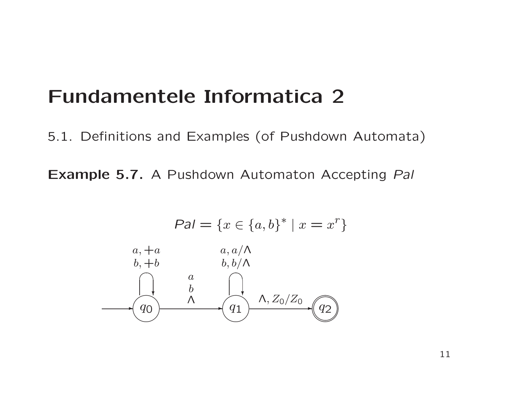5.1. Definitions and Examples (of Pushdown Automata)

Example 5.7. A Pushdown Automaton Accepting Pal

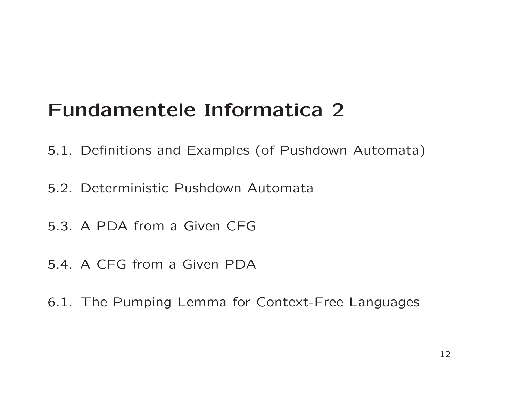- 5.1. Definitions and Examples (of Pushdown Automata)
- 5.2. Deterministic Pushdown Automata
- 5.3. A PDA from a Given CFG
- 5.4. A CFG from a Given PDA
- 6.1. The Pumping Lemma for Context-Free Languages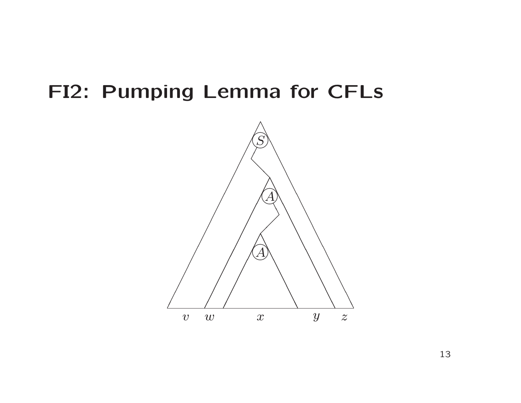## FI2: Pumping Lemma for CFLs

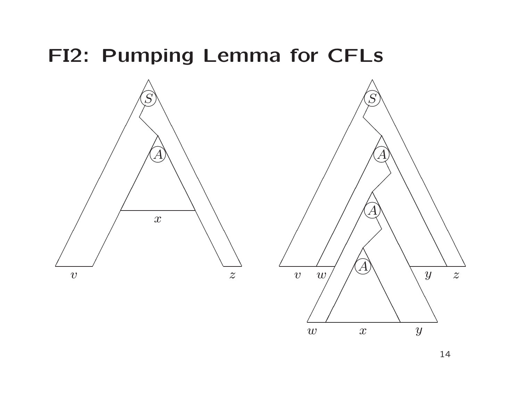# FI2: Pumping Lemma for CFLs



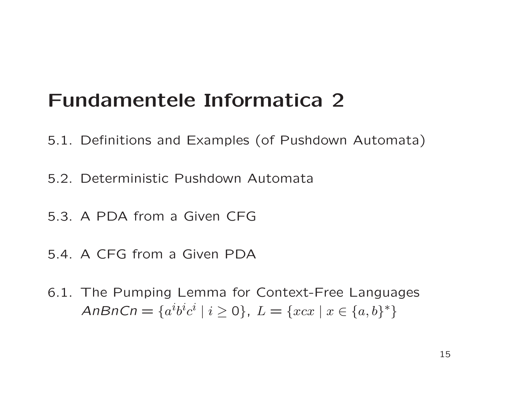- 5.1. Definitions and Examples (of Pushdown Automata)
- 5.2. Deterministic Pushdown Automata
- 5.3. A PDA from a Given CFG
- 5.4. A CFG from a Given PDA
- 6.1. The Pumping Lemma for Context-Free Languages AnBnCn =  $\{a^i b^i c^i \mid i \geq 0\}$ ,  $L = \{x c x \mid x \in \{a, b\}^*\}$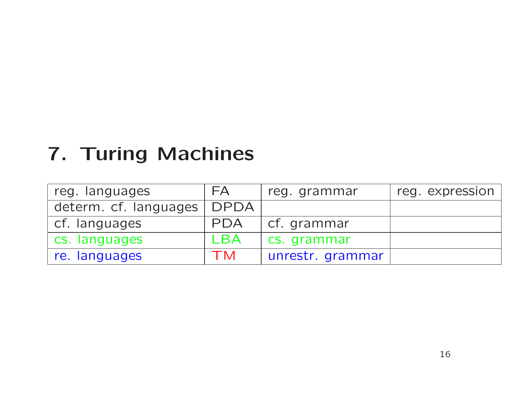# 7. Turing Machines

| reg. languages        | FA          | reg. grammar     | reg. expression |
|-----------------------|-------------|------------------|-----------------|
| determ. cf. languages | <b>DPDA</b> |                  |                 |
| cf. languages         | <b>PDA</b>  | cf. grammar      |                 |
| cs. languages         | LBA         | cs. grammar      |                 |
| re. languages         | TM          | unrestr. grammar |                 |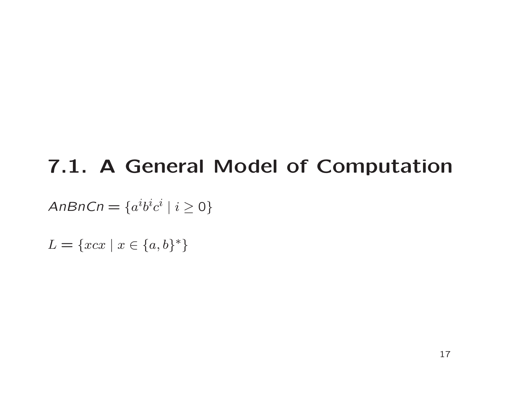# 7.1. A General Model of Computation

AnBnCn  $=\{a^i b^i c^i\mid i\geq 0\}$ 

 $L = \{x c x \mid x \in \{a, b\}^*\}$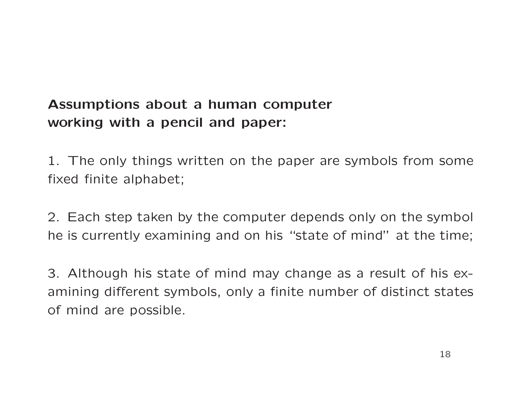### Assumptions about <sup>a</sup> human computer working with <sup>a</sup> pencil and paper:

1. The only things written on the paper are symbols from some fixed finite alphabet;

2. Each step taken by the computer depends only on the symbol he is currently examining and on his "state of mind" at the time;

3. Although his state of mind may change as a result of his examining different symbols, only <sup>a</sup> finite number of distinct states of mind are possible.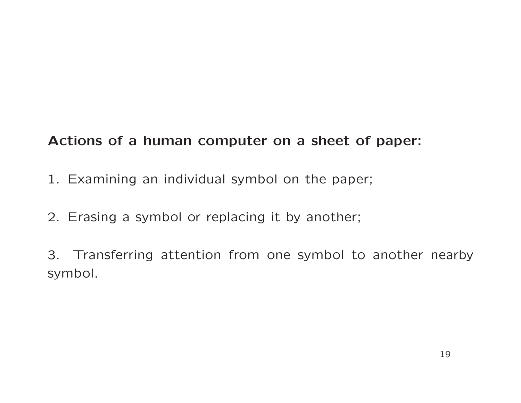#### Actions of <sup>a</sup> human computer on <sup>a</sup> sheet of paper:

- 1. Examining an individual symbol on the paper;
- 2. Erasing <sup>a</sup> symbol or replacing it by another;

3. Transferring attention from one symbol to another nearby symbol.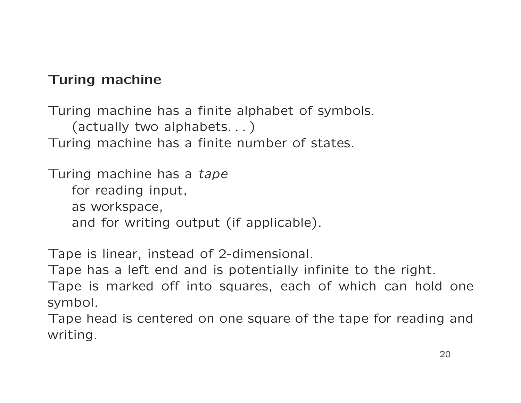#### Turing machine

Turing machine has <sup>a</sup> finite alphabet of symbols. (actually two alphabets. . . ) Turing machine has <sup>a</sup> finite number of states.

Turing machine has a tape for reading input, as workspace, and for writing output (if applicable).

Tape is linear, instead of 2-dimensional.

Tape has <sup>a</sup> left end and is potentially infinite to the right.

Tape is marked off into squares, each of which can hold one symbol.

Tape head is centered on one square of the tape for reading and writing.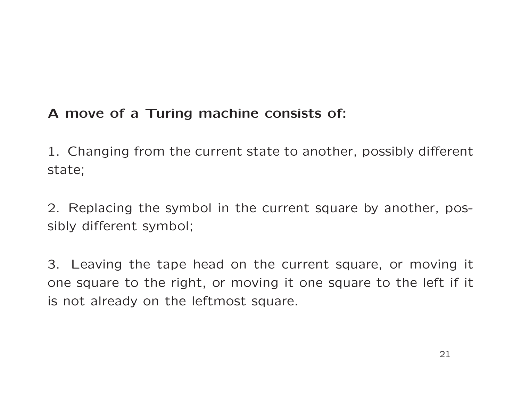#### A move of <sup>a</sup> Turing machine consists of:

1. Changing from the current state to another, possibly different state;

2. Replacing the symbol in the current square by another, pos sibly different symbol;

3. Leaving the tape head on the current square, or moving it one square to the right, or moving it one square to the left if i t is not already on the leftmost square.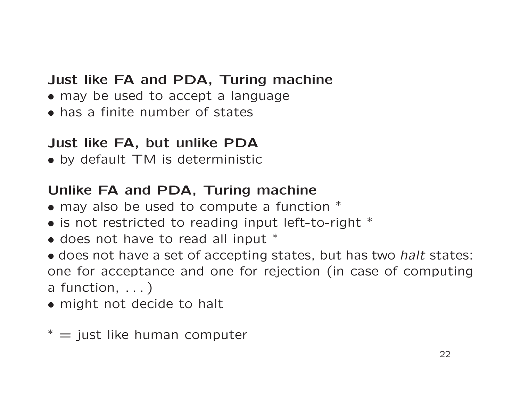#### Just like FA and PDA, Turing machine

- may be used to accept a language
- has a finite number of states

#### Just like FA, but unlike PDA

• by default TM is deterministic

#### Unlike FA and PDA, Turing machine

- may also be used to compute a function  $*$
- is not restricted to reading input left-to-right \*
- does not have to read all input \*
- does not have a set of accepting states, but has two *halt* states: one for acceptance and one for rejection (in case of computing a function, ...)
- might not decide to halt
- $* =$  just like human computer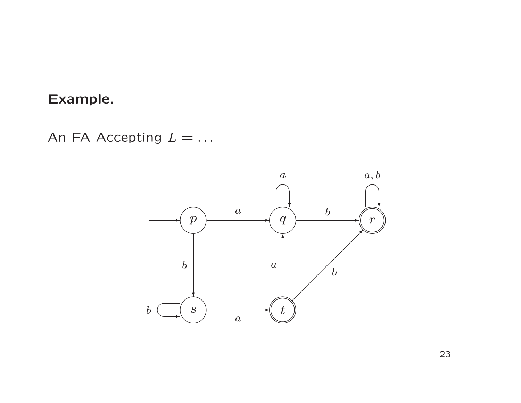#### Example.

An FA Accepting  $L = ...$ 

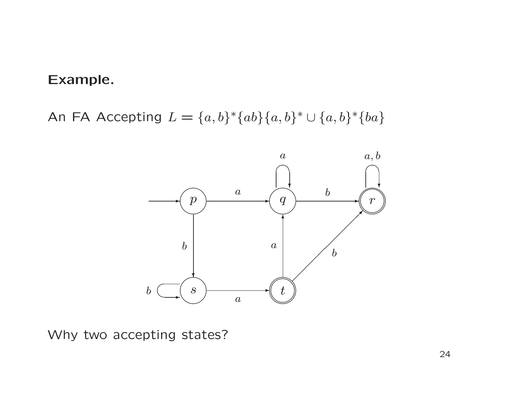#### Example.

An FA Accepting  $L = \{a, b\}^* \{ab\} \{a, b\}^* \cup \{a, b\}^* \{ba\}$ 



Why two accepting states?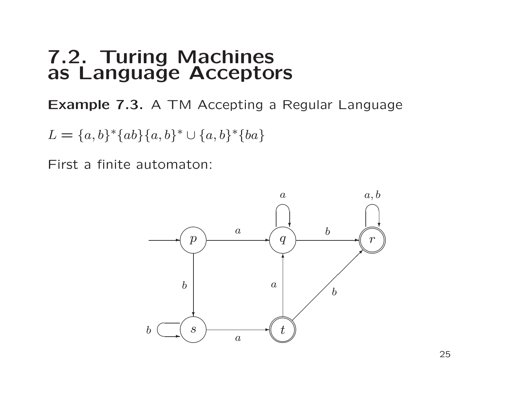### 7.2. Turing Machines as Language Acceptors

Example 7.3. A TM Accepting <sup>a</sup> Regular Language

 $L = \{a, b\}^*\{ab\}\{a, b\}^*\cup \{a, b\}^*\{ba\}$ 

First a finite automaton:

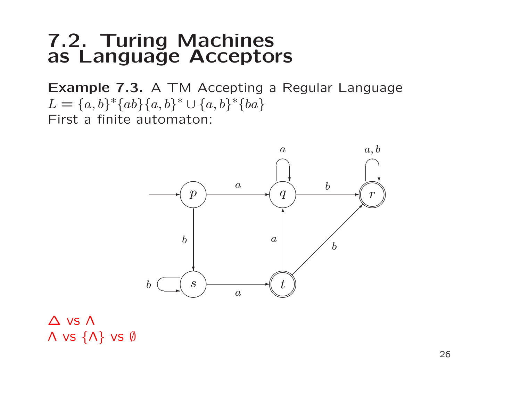### 7.2. Turing Machines as Language Acceptors

Example 7.3. A TM Accepting <sup>a</sup> Regular Language  $L = \{a, b\}^*\{ab\}\{a, b\}^*\cup \{a, b\}^*\{ba\}$ First a finite automaton:



#### ∆ vs Λ  $\Lambda$  vs  $\{\Lambda\}$  vs  $\emptyset$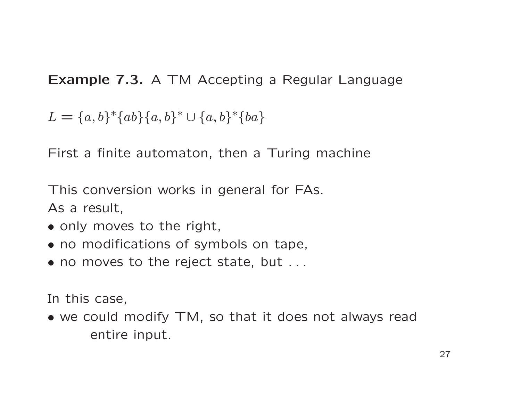Example 7.3. A TM Accepting <sup>a</sup> Regular Language

 $L = \{a, b\}^*\{ab\}\{a, b\}^* \cup \{a, b\}^*\{ba\}$ 

First a finite automaton, then a Turing machine

This conversion works in general for FAs. As <sup>a</sup> result,

- only moves to the right,
- no modifications of symbols on tape,
- no moves to the reject state, but ...

In this case,

• we could modify TM, so that it does not always read entire input.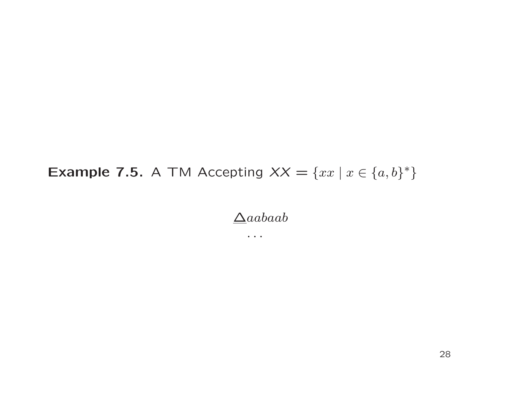$\Delta aabaab$ 

 $\bullet$  ,  $\bullet$  ,  $\bullet$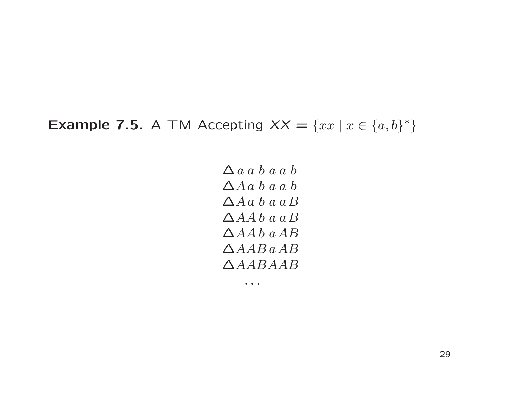$\Delta a$  a b a a b  $\Delta A a b a a b$  $\Delta A a b a a B$  $\triangle AA b a a B$  $\triangle AA b$  a  $AB$  $\triangle AAB$  a  $AB$ ∆AABAAB

 $\bullet\quad\bullet\quad\bullet$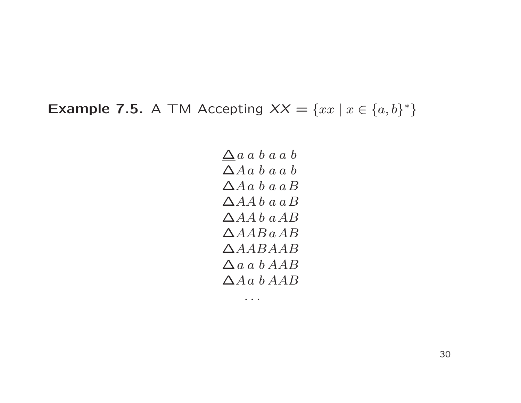$\Delta a$  a b a a b ∆A a b a a b  $\Delta A a b a a B$  $\triangle AA b a a B$  $\triangle AA b$  a  $AB$  $\triangle AAB$  a  $AB$ ∆AABAAB  $\Delta a a b AAB$  $\triangle A$ a b $AAB$ 

 $\bullet \quad \bullet \quad \bullet$